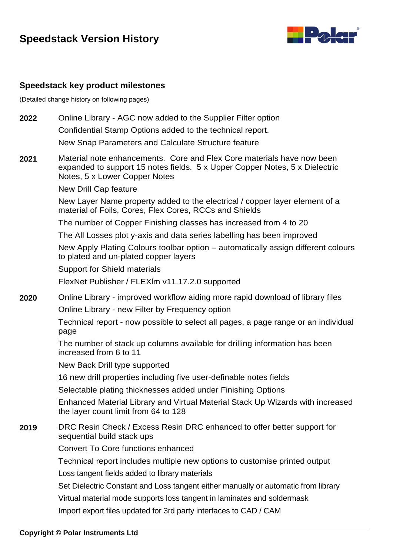# **Speedstack Version History**



### **Speedstack key product milestones**

(Detailed change history on following pages)

- **2022** Online Library AGC now added to the Supplier Filter option Confidential Stamp Options added to the technical report. New Snap Parameters and Calculate Structure feature
- **2021** Material note enhancements. Core and Flex Core materials have now been expanded to support 15 notes fields. 5 x Upper Copper Notes, 5 x Dielectric Notes, 5 x Lower Copper Notes

New Drill Cap feature

New Layer Name property added to the electrical / copper layer element of a material of Foils, Cores, Flex Cores, RCCs and Shields

The number of Copper Finishing classes has increased from 4 to 20

The All Losses plot y-axis and data series labelling has been improved

New Apply Plating Colours toolbar option – automatically assign different colours to plated and un-plated copper layers

Support for Shield materials

FlexNet Publisher / FLEXlm v11.17.2.0 supported

**2020** Online Library - improved workflow aiding more rapid download of library files Online Library - new Filter by Frequency option

> Technical report - now possible to select all pages, a page range or an individual page

The number of stack up columns available for drilling information has been increased from 6 to 11

New Back Drill type supported

16 new drill properties including five user-definable notes fields

Selectable plating thicknesses added under Finishing Options

Enhanced Material Library and Virtual Material Stack Up Wizards with increased the layer count limit from 64 to 128

#### **2019** DRC Resin Check / Excess Resin DRC enhanced to offer better support for sequential build stack ups

Convert To Core functions enhanced

Technical report includes multiple new options to customise printed output

Loss tangent fields added to library materials

Set Dielectric Constant and Loss tangent either manually or automatic from library

Virtual material mode supports loss tangent in laminates and soldermask

Import export files updated for 3rd party interfaces to CAD / CAM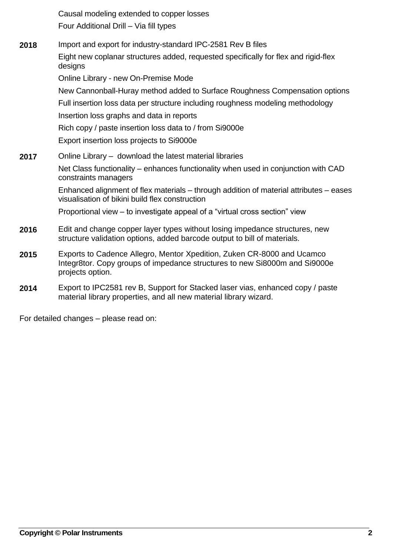Causal modeling extended to copper losses Four Additional Drill – Via fill types

- **2018** Import and export for industry-standard IPC-2581 Rev B files Eight new coplanar structures added, requested specifically for flex and rigid-flex designs Online Library - new On-Premise Mode New Cannonball-Huray method added to Surface Roughness Compensation options Full insertion loss data per structure including roughness modeling methodology Insertion loss graphs and data in reports Rich copy / paste insertion loss data to / from Si9000e Export insertion loss projects to Si9000e **2017** Online Library – download the latest material libraries Net Class functionality – enhances functionality when used in conjunction with CAD constraints managers Enhanced alignment of flex materials – through addition of material attributes – eases visualisation of bikini build flex construction Proportional view – to investigate appeal of a "virtual cross section" view **2016** Edit and change copper layer types without losing impedance structures, new structure validation options, added barcode output to bill of materials. **2015** Exports to Cadence Allegro, Mentor Xpedition, Zuken CR-8000 and Ucamco Integr8tor. Copy groups of impedance structures to new Si8000m and Si9000e projects option.
- **2014** Export to IPC2581 rev B, Support for Stacked laser vias, enhanced copy / paste material library properties, and all new material library wizard.

For detailed changes – please read on: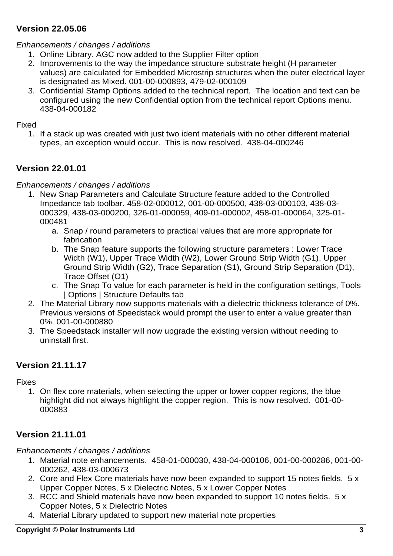## **Version 22.05.06**

### *Enhancements / changes / additions*

- 1. Online Library. AGC now added to the Supplier Filter option
- 2. Improvements to the way the impedance structure substrate height (H parameter values) are calculated for Embedded Microstrip structures when the outer electrical layer is designated as Mixed. 001-00-000893, 479-02-000109
- 3. Confidential Stamp Options added to the technical report. The location and text can be configured using the new Confidential option from the technical report Options menu. 438-04-000182

#### Fixed

1. If a stack up was created with just two ident materials with no other different material types, an exception would occur. This is now resolved. 438-04-000246

## **Version 22.01.01**

## *Enhancements / changes / additions*

- 1. New Snap Parameters and Calculate Structure feature added to the Controlled Impedance tab toolbar. 458-02-000012, 001-00-000500, 438-03-000103, 438-03- 000329, 438-03-000200, 326-01-000059, 409-01-000002, 458-01-000064, 325-01- 000481
	- a. Snap / round parameters to practical values that are more appropriate for fabrication
	- b. The Snap feature supports the following structure parameters : Lower Trace Width (W1), Upper Trace Width (W2), Lower Ground Strip Width (G1), Upper Ground Strip Width (G2), Trace Separation (S1), Ground Strip Separation (D1), Trace Offset (O1)
	- c. The Snap To value for each parameter is held in the configuration settings, Tools | Options | Structure Defaults tab
- 2. The Material Library now supports materials with a dielectric thickness tolerance of 0%. Previous versions of Speedstack would prompt the user to enter a value greater than 0%. 001-00-000880
- 3. The Speedstack installer will now upgrade the existing version without needing to uninstall first.

## **Version 21.11.17**

### Fixes

1. On flex core materials, when selecting the upper or lower copper regions, the blue highlight did not always highlight the copper region. This is now resolved. 001-00- 000883

# **Version 21.11.01**

- 1. Material note enhancements. 458-01-000030, 438-04-000106, 001-00-000286, 001-00- 000262, 438-03-000673
- 2. Core and Flex Core materials have now been expanded to support 15 notes fields. 5 x Upper Copper Notes, 5 x Dielectric Notes, 5 x Lower Copper Notes
- 3. RCC and Shield materials have now been expanded to support 10 notes fields. 5 x Copper Notes, 5 x Dielectric Notes
- 4. Material Library updated to support new material note properties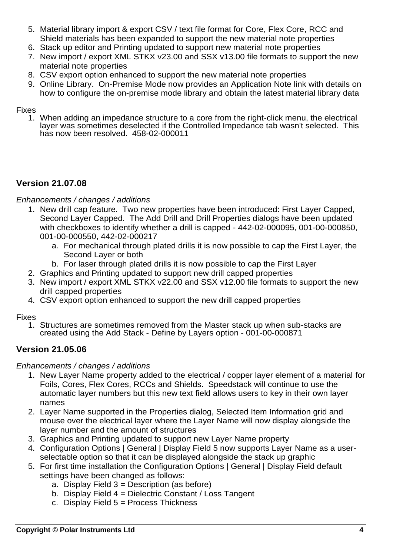- 5. Material library import & export CSV / text file format for Core, Flex Core, RCC and Shield materials has been expanded to support the new material note properties
- 6. Stack up editor and Printing updated to support new material note properties
- 7. New import / export XML STKX v23.00 and SSX v13.00 file formats to support the new material note properties
- 8. CSV export option enhanced to support the new material note properties
- 9. Online Library. On-Premise Mode now provides an Application Note link with details on how to configure the on-premise mode library and obtain the latest material library data

1. When adding an impedance structure to a core from the right-click menu, the electrical layer was sometimes deselected if the Controlled Impedance tab wasn't selected. This has now been resolved. 458-02-000011

# **Version 21.07.08**

*Enhancements / changes / additions*

- 1. New drill cap feature. Two new properties have been introduced: First Layer Capped, Second Layer Capped. The Add Drill and Drill Properties dialogs have been updated with checkboxes to identify whether a drill is capped - 442-02-000095, 001-00-000850, 001-00-000550, 442-02-000217
	- a. For mechanical through plated drills it is now possible to cap the First Layer, the Second Layer or both
	- b. For laser through plated drills it is now possible to cap the First Layer
- 2. Graphics and Printing updated to support new drill capped properties
- 3. New import / export XML STKX v22.00 and SSX v12.00 file formats to support the new drill capped properties
- 4. CSV export option enhanced to support the new drill capped properties

Fixes

1. Structures are sometimes removed from the Master stack up when sub-stacks are created using the Add Stack - Define by Layers option - 001-00-000871

# **Version 21.05.06**

- 1. New Layer Name property added to the electrical / copper layer element of a material for Foils, Cores, Flex Cores, RCCs and Shields. Speedstack will continue to use the automatic layer numbers but this new text field allows users to key in their own layer names
- 2. Layer Name supported in the Properties dialog, Selected Item Information grid and mouse over the electrical layer where the Layer Name will now display alongside the layer number and the amount of structures
- 3. Graphics and Printing updated to support new Layer Name property
- 4. Configuration Options | General | Display Field 5 now supports Layer Name as a userselectable option so that it can be displayed alongside the stack up graphic
- 5. For first time installation the Configuration Options | General | Display Field default settings have been changed as follows:
	- a. Display Field  $3 =$  Description (as before)
	- b. Display Field 4 = Dielectric Constant / Loss Tangent
	- c. Display Field 5 = Process Thickness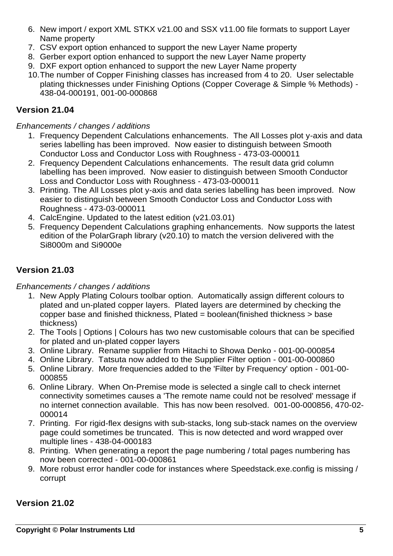- 6. New import / export XML STKX v21.00 and SSX v11.00 file formats to support Layer Name property
- 7. CSV export option enhanced to support the new Layer Name property
- 8. Gerber export option enhanced to support the new Layer Name property
- 9. DXF export option enhanced to support the new Layer Name property
- 10.The number of Copper Finishing classes has increased from 4 to 20. User selectable plating thicknesses under Finishing Options (Copper Coverage & Simple % Methods) - 438-04-000191, 001-00-000868

## **Version 21.04**

#### *Enhancements / changes / additions*

- 1. Frequency Dependent Calculations enhancements. The All Losses plot y-axis and data series labelling has been improved. Now easier to distinguish between Smooth Conductor Loss and Conductor Loss with Roughness - 473-03-000011
- 2. Frequency Dependent Calculations enhancements. The result data grid column labelling has been improved. Now easier to distinguish between Smooth Conductor Loss and Conductor Loss with Roughness - 473-03-000011
- 3. Printing. The All Losses plot y-axis and data series labelling has been improved. Now easier to distinguish between Smooth Conductor Loss and Conductor Loss with Roughness - 473-03-000011
- 4. CalcEngine. Updated to the latest edition (v21.03.01)
- 5. Frequency Dependent Calculations graphing enhancements. Now supports the latest edition of the PolarGraph library (v20.10) to match the version delivered with the Si8000m and Si9000e

## **Version 21.03**

### *Enhancements / changes / additions*

- 1. New Apply Plating Colours toolbar option. Automatically assign different colours to plated and un-plated copper layers. Plated layers are determined by checking the copper base and finished thickness, Plated = boolean(finished thickness > base thickness)
- 2. The Tools | Options | Colours has two new customisable colours that can be specified for plated and un-plated copper layers
- 3. Online Library. Rename supplier from Hitachi to Showa Denko 001-00-000854
- 4. Online Library. Tatsuta now added to the Supplier Filter option 001-00-000860
- 5. Online Library. More frequencies added to the 'Filter by Frequency' option 001-00- 000855
- 6. Online Library. When On-Premise mode is selected a single call to check internet connectivity sometimes causes a 'The remote name could not be resolved' message if no internet connection available. This has now been resolved. 001-00-000856, 470-02- 000014
- 7. Printing. For rigid-flex designs with sub-stacks, long sub-stack names on the overview page could sometimes be truncated. This is now detected and word wrapped over multiple lines - 438-04-000183
- 8. Printing. When generating a report the page numbering / total pages numbering has now been corrected - 001-00-000861
- 9. More robust error handler code for instances where Speedstack.exe.config is missing / corrupt

## **Version 21.02**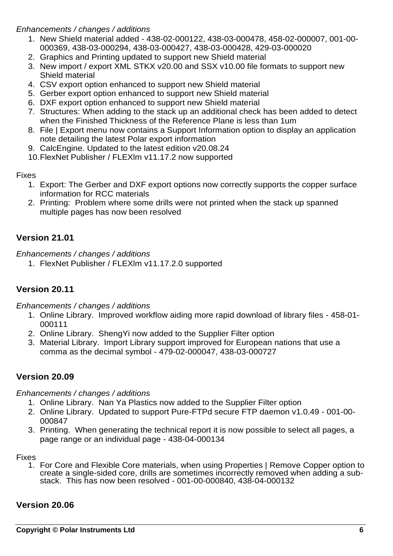#### *Enhancements / changes / additions*

- 1. New Shield material added 438-02-000122, 438-03-000478, 458-02-000007, 001-00- 000369, 438-03-000294, 438-03-000427, 438-03-000428, 429-03-000020
- 2. Graphics and Printing updated to support new Shield material
- 3. New import / export XML STKX v20.00 and SSX v10.00 file formats to support new Shield material
- 4. CSV export option enhanced to support new Shield material
- 5. Gerber export option enhanced to support new Shield material
- 6. DXF export option enhanced to support new Shield material
- 7. Structures: When adding to the stack up an additional check has been added to detect when the Finished Thickness of the Reference Plane is less than 1um
- 8. File | Export menu now contains a Support Information option to display an application note detailing the latest Polar export information
- 9. CalcEngine. Updated to the latest edition v20.08.24
- 10.FlexNet Publisher / FLEXlm v11.17.2 now supported

#### **Fixes**

- 1. Export: The Gerber and DXF export options now correctly supports the copper surface information for RCC materials
- 2. Printing: Problem where some drills were not printed when the stack up spanned multiple pages has now been resolved

## **Version 21.01**

*Enhancements / changes / additions*

1. FlexNet Publisher / FLEXlm v11.17.2.0 supported

# **Version 20.11**

*Enhancements / changes / additions*

- 1. Online Library. Improved workflow aiding more rapid download of library files 458-01- 000111
- 2. Online Library. ShengYi now added to the Supplier Filter option
- 3. Material Library. Import Library support improved for European nations that use a comma as the decimal symbol - 479-02-000047, 438-03-000727

## **Version 20.09**

*Enhancements / changes / additions*

- 1. Online Library. Nan Ya Plastics now added to the Supplier Filter option
- 2. Online Library. Updated to support Pure-FTPd secure FTP daemon v1.0.49 001-00- 000847
- 3. Printing. When generating the technical report it is now possible to select all pages, a page range or an individual page - 438-04-000134

#### Fixes

1. For Core and Flexible Core materials, when using Properties | Remove Copper option to create a single-sided core, drills are sometimes incorrectly removed when adding a substack. This has now been resolved - 001-00-000840, 438-04-000132

### **Version 20.06**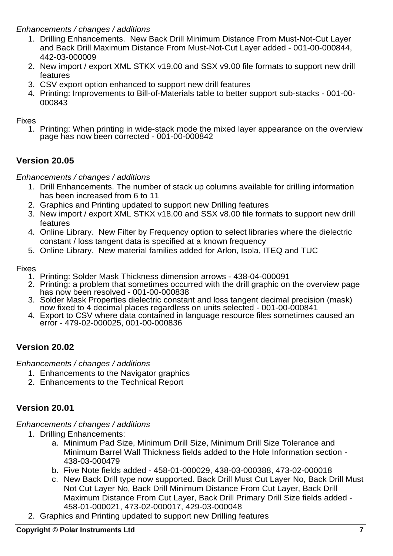### *Enhancements / changes / additions*

- 1. Drilling Enhancements. New Back Drill Minimum Distance From Must-Not-Cut Layer and Back Drill Maximum Distance From Must-Not-Cut Layer added - 001-00-000844, 442-03-000009
- 2. New import / export XML STKX v19.00 and SSX v9.00 file formats to support new drill features
- 3. CSV export option enhanced to support new drill features
- 4. Printing: Improvements to Bill-of-Materials table to better support sub-stacks 001-00- 000843

Fixes

1. Printing: When printing in wide-stack mode the mixed layer appearance on the overview page has now been corrected - 001-00-000842

# **Version 20.05**

*Enhancements / changes / additions*

- 1. Drill Enhancements. The number of stack up columns available for drilling information has been increased from 6 to 11
- 2. Graphics and Printing updated to support new Drilling features
- 3. New import / export XML STKX v18.00 and SSX v8.00 file formats to support new drill features
- 4. Online Library. New Filter by Frequency option to select libraries where the dielectric constant / loss tangent data is specified at a known frequency
- 5. Online Library. New material families added for Arlon, Isola, ITEQ and TUC

Fixes

- 1. Printing: Solder Mask Thickness dimension arrows 438-04-000091
- 2. Printing: a problem that sometimes occurred with the drill graphic on the overview page has now been resolved - 001-00-000838
- 3. Solder Mask Properties dielectric constant and loss tangent decimal precision (mask) now fixed to 4 decimal places regardless on units selected - 001-00-000841
- 4. Export to CSV where data contained in language resource files sometimes caused an error - 479-02-000025, 001-00-000836

# **Version 20.02**

*Enhancements / changes / additions*

- 1. Enhancements to the Navigator graphics
- 2. Enhancements to the Technical Report

# **Version 20.01**

- 1. Drilling Enhancements:
	- a. Minimum Pad Size, Minimum Drill Size, Minimum Drill Size Tolerance and Minimum Barrel Wall Thickness fields added to the Hole Information section - 438-03-000479
	- b. Five Note fields added 458-01-000029, 438-03-000388, 473-02-000018
	- c. New Back Drill type now supported. Back Drill Must Cut Layer No, Back Drill Must Not Cut Layer No, Back Drill Minimum Distance From Cut Layer, Back Drill Maximum Distance From Cut Layer, Back Drill Primary Drill Size fields added - 458-01-000021, 473-02-000017, 429-03-000048
- 2. Graphics and Printing updated to support new Drilling features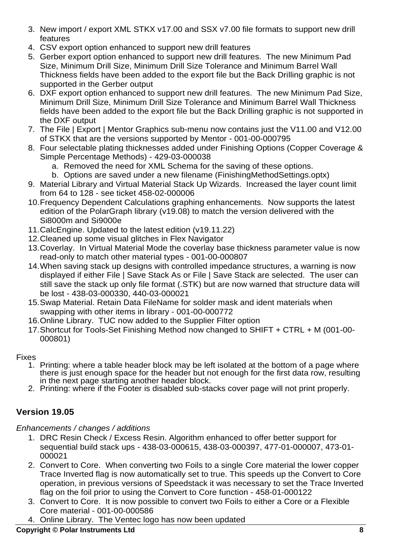- 3. New import / export XML STKX v17.00 and SSX v7.00 file formats to support new drill features
- 4. CSV export option enhanced to support new drill features
- 5. Gerber export option enhanced to support new drill features. The new Minimum Pad Size, Minimum Drill Size, Minimum Drill Size Tolerance and Minimum Barrel Wall Thickness fields have been added to the export file but the Back Drilling graphic is not supported in the Gerber output
- 6. DXF export option enhanced to support new drill features. The new Minimum Pad Size, Minimum Drill Size, Minimum Drill Size Tolerance and Minimum Barrel Wall Thickness fields have been added to the export file but the Back Drilling graphic is not supported in the DXF output
- 7. The File | Export | Mentor Graphics sub-menu now contains just the V11.00 and V12.00 of STKX that are the versions supported by Mentor - 001-00-000795
- 8. Four selectable plating thicknesses added under Finishing Options (Copper Coverage & Simple Percentage Methods) - 429-03-000038
	- a. Removed the need for XML Schema for the saving of these options.
	- b. Options are saved under a new filename (FinishingMethodSettings.optx)
- 9. Material Library and Virtual Material Stack Up Wizards. Increased the layer count limit from 64 to 128 - see ticket 458-02-000006
- 10.Frequency Dependent Calculations graphing enhancements. Now supports the latest edition of the PolarGraph library (v19.08) to match the version delivered with the Si8000m and Si9000e
- 11.CalcEngine. Updated to the latest edition (v19.11.22)
- 12.Cleaned up some visual glitches in Flex Navigator
- 13.Coverlay. In Virtual Material Mode the coverlay base thickness parameter value is now read-only to match other material types - 001-00-000807
- 14.When saving stack up designs with controlled impedance structures, a warning is now displayed if either File | Save Stack As or File | Save Stack are selected. The user can still save the stack up only file format (.STK) but are now warned that structure data will be lost - 438-03-000330, 440-03-000021
- 15.Swap Material. Retain Data FileName for solder mask and ident materials when swapping with other items in library - 001-00-000772
- 16.Online Library. TUC now added to the Supplier Filter option
- 17.Shortcut for Tools-Set Finishing Method now changed to SHIFT + CTRL + M (001-00- 000801)

- 1. Printing: where a table header block may be left isolated at the bottom of a page where there is just enough space for the header but not enough for the first data row, resulting in the next page starting another header block.
- 2. Printing: where if the Footer is disabled sub-stacks cover page will not print properly.

# **Version 19.05**

## *Enhancements / changes / additions*

- 1. DRC Resin Check / Excess Resin. Algorithm enhanced to offer better support for sequential build stack ups - 438-03-000615, 438-03-000397, 477-01-000007, 473-01- 000021
- 2. Convert to Core. When converting two Foils to a single Core material the lower copper Trace Inverted flag is now automatically set to true. This speeds up the Convert to Core operation, in previous versions of Speedstack it was necessary to set the Trace Inverted flag on the foil prior to using the Convert to Core function - 458-01-000122
- 3. Convert to Core. It is now possible to convert two Foils to either a Core or a Flexible Core material - 001-00-000586
- 4. Online Library. The Ventec logo has now been updated

## **Copyright © Polar Instruments Ltd 8**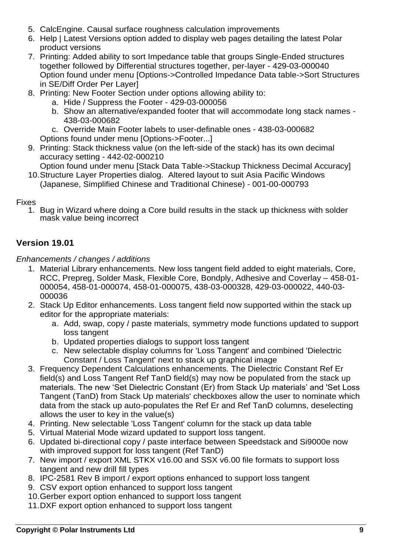- 5. CalcEngine. Causal surface roughness calculation improvements
- 6. Help | Latest Versions option added to display web pages detailing the latest Polar product versions
- 7. Printing: Added ability to sort Impedance table that groups Single-Ended structures together followed by Differential structures together, per-layer - 429-03-000040 Option found under menu [Options->Controlled Impedance Data table->Sort Structures in SE/Diff Order Per Layer]
- 8. Printing: New Footer Section under options allowing ability to:
	- a. Hide / Suppress the Footer 429-03-000056
	- b. Show an alternative/expanded footer that will accommodate long stack names 438-03-000682
	- c. Override Main Footer labels to user-definable ones 438-03-000682
	- Options found under menu [Options->Footer...]
- 9. Printing: Stack thickness value (on the left-side of the stack) has its own decimal accuracy setting - 442-02-000210

Option found under menu [Stack Data Table->Stackup Thickness Decimal Accuracy]

10.Structure Layer Properties dialog. Altered layout to suit Asia Pacific Windows (Japanese, Simplified Chinese and Traditional Chinese) - 001-00-000793

## Fixes

1. Bug in Wizard where doing a Core build results in the stack up thickness with solder mask value being incorrect

# **Version 19.01**

- 1. Material Library enhancements. New loss tangent field added to eight materials, Core, RCC, Prepreg, Solder Mask, Flexible Core, Bondply, Adhesive and Coverlay – 458-01- 000054, 458-01-000074, 458-01-000075, 438-03-000328, 429-03-000022, 440-03- 000036
- 2. Stack Up Editor enhancements. Loss tangent field now supported within the stack up editor for the appropriate materials:
	- a. Add, swap, copy / paste materials, symmetry mode functions updated to support loss tangent
	- b. Updated properties dialogs to support loss tangent
	- c. New selectable display columns for 'Loss Tangent' and combined 'Dielectric Constant / Loss Tangent' next to stack up graphical image
- 3. Frequency Dependent Calculations enhancements. The Dielectric Constant Ref Er field(s) and Loss Tangent Ref TanD field(s) may now be populated from the stack up materials. The new 'Set Dielectric Constant (Er) from Stack Up materials' and 'Set Loss Tangent (TanD) from Stack Up materials' checkboxes allow the user to nominate which data from the stack up auto-populates the Ref Er and Ref TanD columns, deselecting allows the user to key in the value(s)
- 4. Printing. New selectable 'Loss Tangent' column for the stack up data table
- 5. Virtual Material Mode wizard updated to support loss tangent.
- 6. Updated bi-directional copy / paste interface between Speedstack and Si9000e now with improved support for loss tangent (Ref TanD)
- 7. New import / export XML STKX v16.00 and SSX v6.00 file formats to support loss tangent and new drill fill types
- 8. IPC-2581 Rev B import / export options enhanced to support loss tangent
- 9. CSV export option enhanced to support loss tangent
- 10.Gerber export option enhanced to support loss tangent
- 11.DXF export option enhanced to support loss tangent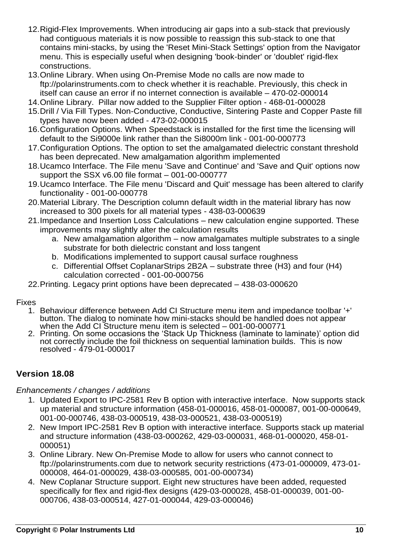- 12.Rigid-Flex Improvements. When introducing air gaps into a sub-stack that previously had contiguous materials it is now possible to reassign this sub-stack to one that contains mini-stacks, by using the 'Reset Mini-Stack Settings' option from the Navigator menu. This is especially useful when designing 'book-binder' or 'doublet' rigid-flex constructions.
- 13.Online Library. When using On-Premise Mode no calls are now made to ftp://polarinstruments.com to check whether it is reachable. Previously, this check in itself can cause an error if no internet connection is available – 470-02-000014
- 14.Online Library. Pillar now added to the Supplier Filter option 468-01-000028
- 15.Drill / Via Fill Types. Non-Conductive, Conductive, Sintering Paste and Copper Paste fill types have now been added - 473-02-000015
- 16.Configuration Options. When Speedstack is installed for the first time the licensing will default to the Si9000e link rather than the Si8000m link - 001-00-000773
- 17.Configuration Options. The option to set the amalgamated dielectric constant threshold has been deprecated. New amalgamation algorithm implemented
- 18.Ucamco Interface. The File menu 'Save and Continue' and 'Save and Quit' options now support the SSX v6.00 file format – 001-00-000777
- 19.Ucamco Interface. The File menu 'Discard and Quit' message has been altered to clarify functionality - 001-00-000778
- 20.Material Library. The Description column default width in the material library has now increased to 300 pixels for all material types - 438-03-000639
- 21.Impedance and Insertion Loss Calculations new calculation engine supported. These improvements may slightly alter the calculation results
	- a. New amalgamation algorithm now amalgamates multiple substrates to a single substrate for both dielectric constant and loss tangent
	- b. Modifications implemented to support causal surface roughness
	- c. Differential Offset CoplanarStrips 2B2A substrate three (H3) and four (H4) calculation corrected - 001-00-000756
- 22.Printing. Legacy print options have been deprecated 438-03-000620

- 1. Behaviour difference between Add CI Structure menu item and impedance toolbar '+' button. The dialog to nominate how mini-stacks should be handled does not appear when the Add CI Structure menu item is selected – 001-00-000771
- 2. Printing. On some occasions the 'Stack Up Thickness (laminate to laminate)' option did not correctly include the foil thickness on sequential lamination builds. This is now resolved - 479-01-000017

# **Version 18.08**

- 1. Updated Export to IPC-2581 Rev B option with interactive interface. Now supports stack up material and structure information (458-01-000016, 458-01-000087, 001-00-000649, 001-00-000746, 438-03-000519, 438-03-000521, 438-03-000519)
- 2. New Import IPC-2581 Rev B option with interactive interface. Supports stack up material and structure information (438-03-000262, 429-03-000031, 468-01-000020, 458-01- 000051)
- 3. Online Library. New On-Premise Mode to allow for users who cannot connect to ftp://polarinstruments.com due to network security restrictions (473-01-000009, 473-01- 000008, 464-01-000029, 438-03-000585, 001-00-000734)
- 4. New Coplanar Structure support. Eight new structures have been added, requested specifically for flex and rigid-flex designs (429-03-000028, 458-01-000039, 001-00- 000706, 438-03-000514, 427-01-000044, 429-03-000046)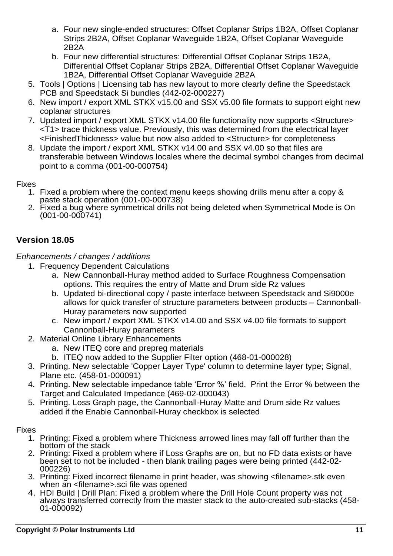- a. Four new single-ended structures: Offset Coplanar Strips 1B2A, Offset Coplanar Strips 2B2A, Offset Coplanar Waveguide 1B2A, Offset Coplanar Waveguide 2B2A
- b. Four new differential structures: Differential Offset Coplanar Strips 1B2A, Differential Offset Coplanar Strips 2B2A, Differential Offset Coplanar Waveguide 1B2A, Differential Offset Coplanar Waveguide 2B2A
- 5. Tools | Options | Licensing tab has new layout to more clearly define the Speedstack PCB and Speedstack Si bundles (442-02-000227)
- 6. New import / export XML STKX v15.00 and SSX v5.00 file formats to support eight new coplanar structures
- 7. Updated import / export XML STKX v14.00 file functionality now supports <Structure> <T1> trace thickness value. Previously, this was determined from the electrical layer <FinishedThickness> value but now also added to <Structure> for completeness
- 8. Update the import / export XML STKX v14.00 and SSX v4.00 so that files are transferable between Windows locales where the decimal symbol changes from decimal point to a comma (001-00-000754)

- 1. Fixed a problem where the context menu keeps showing drills menu after a copy & paste stack operation (001-00-000738)
- 2. Fixed a bug where symmetrical drills not being deleted when Symmetrical Mode is On (001-00-000741)

# **Version 18.05**

## *Enhancements / changes / additions*

- 1. Frequency Dependent Calculations
	- a. New Cannonball-Huray method added to Surface Roughness Compensation options. This requires the entry of Matte and Drum side Rz values
	- b. Updated bi-directional copy / paste interface between Speedstack and Si9000e allows for quick transfer of structure parameters between products – Cannonball-Huray parameters now supported
	- c. New import / export XML STKX v14.00 and SSX v4.00 file formats to support Cannonball-Huray parameters
- 2. Material Online Library Enhancements
	- a. New ITEQ core and prepreg materials
	- b. ITEQ now added to the Supplier Filter option (468-01-000028)
- 3. Printing. New selectable 'Copper Layer Type' column to determine layer type; Signal, Plane etc. (458-01-000091)
- 4. Printing. New selectable impedance table 'Error %' field. Print the Error % between the Target and Calculated Impedance (469-02-000043)
- 5. Printing. Loss Graph page, the Cannonball-Huray Matte and Drum side Rz values added if the Enable Cannonball-Huray checkbox is selected

- 1. Printing: Fixed a problem where Thickness arrowed lines may fall off further than the bottom of the stack
- 2. Printing: Fixed a problem where if Loss Graphs are on, but no FD data exists or have been set to not be included - then blank trailing pages were being printed (442-02- 000226)
- 3. Printing: Fixed incorrect filename in print header, was showing <filename>.stk even when an <filename>.sci file was opened
- 4. HDI Build | Drill Plan: Fixed a problem where the Drill Hole Count property was not always transferred correctly from the master stack to the auto-created sub-stacks (458- 01-000092)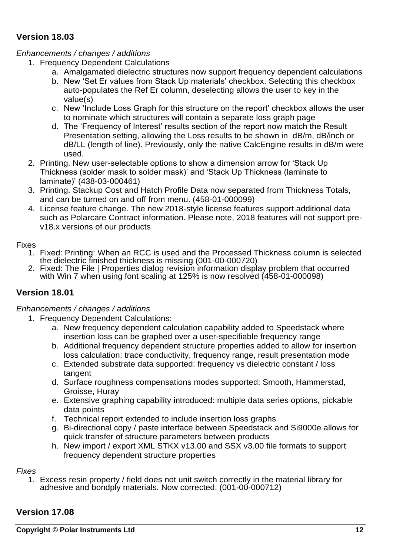## **Version 18.03**

## *Enhancements / changes / additions*

- 1. Frequency Dependent Calculations
	- a. Amalgamated dielectric structures now support frequency dependent calculations
	- b. New 'Set Er values from Stack Up materials' checkbox. Selecting this checkbox auto-populates the Ref Er column, deselecting allows the user to key in the value(s)
	- c. New 'Include Loss Graph for this structure on the report' checkbox allows the user to nominate which structures will contain a separate loss graph page
	- d. The 'Frequency of Interest' results section of the report now match the Result Presentation setting, allowing the Loss results to be shown in dB/m, dB/inch or dB/LL (length of line). Previously, only the native CalcEngine results in dB/m were used.
- 2. Printing. New user-selectable options to show a dimension arrow for 'Stack Up Thickness (solder mask to solder mask)' and 'Stack Up Thickness (laminate to laminate)' (438-03-000461)
- 3. Printing. Stackup Cost and Hatch Profile Data now separated from Thickness Totals, and can be turned on and off from menu. (458-01-000099)
- 4. License feature change. The new 2018-style license features support additional data such as Polarcare Contract information. Please note, 2018 features will not support prev18.x versions of our products

### Fixes

- 1. Fixed: Printing: When an RCC is used and the Processed Thickness column is selected the dielectric finished thickness is missing (001-00-000720)
- 2. Fixed: The File | Properties dialog revision information display problem that occurred with Win 7 when using font scaling at 125% is now resolved (458-01-000098)

# **Version 18.01**

### *Enhancements / changes / additions*

- 1. Frequency Dependent Calculations:
	- a. New frequency dependent calculation capability added to Speedstack where insertion loss can be graphed over a user-specifiable frequency range
	- b. Additional frequency dependent structure properties added to allow for insertion loss calculation: trace conductivity, frequency range, result presentation mode
	- c. Extended substrate data supported: frequency vs dielectric constant / loss tangent
	- d. Surface roughness compensations modes supported: Smooth, Hammerstad, Groisse, Huray
	- e. Extensive graphing capability introduced: multiple data series options, pickable data points
	- f. Technical report extended to include insertion loss graphs
	- g. Bi-directional copy / paste interface between Speedstack and Si9000e allows for quick transfer of structure parameters between products
	- h. New import / export XML STKX v13.00 and SSX v3.00 file formats to support frequency dependent structure properties

### *Fixes*

1. Excess resin property / field does not unit switch correctly in the material library for adhesive and bondply materials. Now corrected. (001-00-000712)

# **Version 17.08**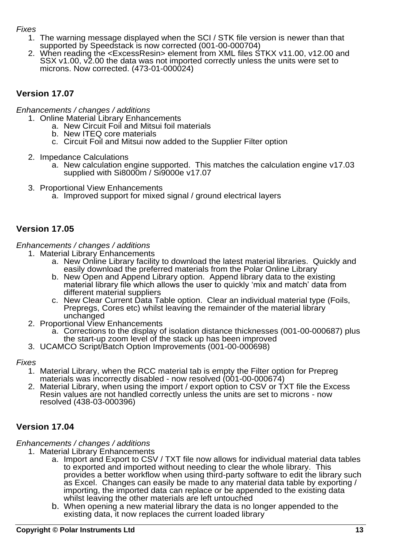- 1. The warning message displayed when the SCI / STK file version is newer than that supported by Speedstack is now corrected (001-00-000704)
- 2. When reading the <ExcessResin> element from XML files STKX v11.00, v12.00 and SSX v1.00, v2.00 the data was not imported correctly unless the units were set to microns. Now corrected. (473-01-000024)

## **Version 17.07**

*Enhancements / changes / additions*

- 1. Online Material Library Enhancements
	- a. New Circuit Foil and Mitsui foil materials
	- b. New ITEQ core materials
	- c. Circuit Foil and Mitsui now added to the Supplier Filter option
- 2. Impedance Calculations
	- a. New calculation engine supported. This matches the calculation engine v17.03 supplied with Si8000m / Si9000e v17.07
- 3. Proportional View Enhancements
	- a. Improved support for mixed signal / ground electrical layers

## **Version 17.05**

*Enhancements / changes / additions*

- 1. Material Library Enhancements
	- a. New Online Library facility to download the latest material libraries. Quickly and easily download the preferred materials from the Polar Online Library
	- b. New Open and Append Library option. Append library data to the existing material library file which allows the user to quickly 'mix and match' data from different material suppliers
	- c. New Clear Current Data Table option. Clear an individual material type (Foils, Prepregs, Cores etc) whilst leaving the remainder of the material library unchanged
	- 2. Proportional View Enhancements
		- a. Corrections to the display of isolation distance thicknesses (001-00-000687) plus the start-up zoom level of the stack up has been improved
- 3. UCAMCO Script/Batch Option Improvements (001-00-000698)

#### *Fixes*

- 1. Material Library, when the RCC material tab is empty the Filter option for Prepreg materials was incorrectly disabled - now resolved (001-00-000674)
- 2. Material Library, when using the import / export option to CSV or TXT file the Excess Resin values are not handled correctly unless the units are set to microns - now resolved (438-03-000396)

## **Version 17.04**

- 1. Material Library Enhancements
	- a. Import and Export to CSV / TXT file now allows for individual material data tables to exported and imported without needing to clear the whole library. This provides a better workflow when using third-party software to edit the library such as Excel. Changes can easily be made to any material data table by exporting / importing, the imported data can replace or be appended to the existing data whilst leaving the other materials are left untouched
	- b. When opening a new material library the data is no longer appended to the existing data, it now replaces the current loaded library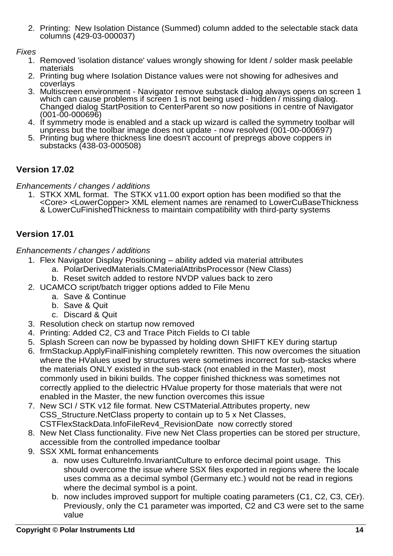2. Printing: New Isolation Distance (Summed) column added to the selectable stack data columns (429-03-000037)

## *Fixes*

- 1. Removed 'isolation distance' values wrongly showing for Ident / solder mask peelable materials
- 2. Printing bug where Isolation Distance values were not showing for adhesives and coverlays
- 3. Multiscreen environment Navigator remove substack dialog always opens on screen 1 which can cause problems if screen 1 is not being used - hidden / missing dialog. Changed dialog StartPosition to CenterParent so now positions in centre of Navigator (001-00-000696)
- 4. If symmetry mode is enabled and a stack up wizard is called the symmetry toolbar will unpress but the toolbar image does not update - now resolved (001-00-000697)
- 5. Printing bug where thickness line doesn't account of prepregs above coppers in substacks (438-03-000508)

# **Version 17.02**

*Enhancements / changes / additions*

1. STKX XML format. The STKX v11.00 export option has been modified so that the <Core> <LowerCopper> XML element names are renamed to LowerCuBaseThickness & LowerCuFinishedThickness to maintain compatibility with third-party systems

# **Version 17.01**

- 1. Flex Navigator Display Positioning ability added via material attributes
	- a. PolarDerivedMaterials.CMaterialAttribsProcessor (New Class)
	- b. Reset switch added to restore NVDP values back to zero
- 2. UCAMCO script/batch trigger options added to File Menu
	- a. Save & Continue
	- b. Save & Quit
	- c. Discard & Quit
- 3. Resolution check on startup now removed
- 4. Printing: Added C2, C3 and Trace Pitch Fields to CI table
- 5. Splash Screen can now be bypassed by holding down SHIFT KEY during startup
- 6. frmStackup.ApplyFinalFinishing completely rewritten. This now overcomes the situation where the HValues used by structures were sometimes incorrect for sub-stacks where the materials ONLY existed in the sub-stack (not enabled in the Master), most commonly used in bikini builds. The copper finished thickness was sometimes not correctly applied to the dielectric HValue property for those materials that were not enabled in the Master, the new function overcomes this issue
- 7. New SCI / STK v12 file format. New CSTMaterial.Attributes property, new CSS Structure. Net Class property to contain up to 5 x Net Classes, CSTFlexStackData.InfoFileRev4\_RevisionDate now correctly stored
- 8. New Net Class functionality. Five new Net Class properties can be stored per structure, accessible from the controlled impedance toolbar
- 9. SSX XML format enhancements
	- a. now uses CultureInfo.InvariantCulture to enforce decimal point usage. This should overcome the issue where SSX files exported in regions where the locale uses comma as a decimal symbol (Germany etc.) would not be read in regions where the decimal symbol is a point.
	- b. now includes improved support for multiple coating parameters (C1, C2, C3, CEr). Previously, only the C1 parameter was imported, C2 and C3 were set to the same value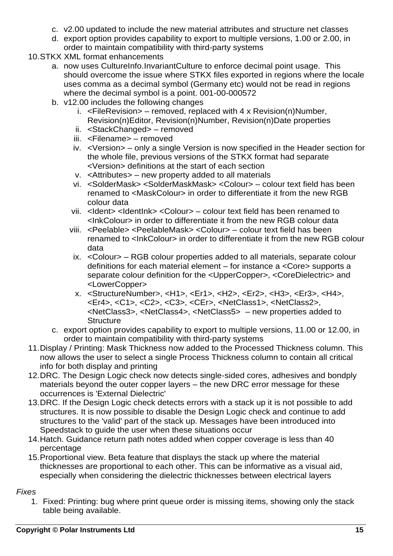- c. v2.00 updated to include the new material attributes and structure net classes
- d. export option provides capability to export to multiple versions, 1.00 or 2.00, in order to maintain compatibility with third-party systems
- 10.STKX XML format enhancements
	- a. now uses CultureInfo.InvariantCulture to enforce decimal point usage. This should overcome the issue where STKX files exported in regions where the locale uses comma as a decimal symbol (Germany etc) would not be read in regions where the decimal symbol is a point. 001-00-000572
	- b. v12.00 includes the following changes
		- i.  $\leq$ FileRevision > removed, replaced with 4 x Revision(n)Number, Revision(n)Editor, Revision(n)Number, Revision(n)Date properties
		- ii. <StackChanged> removed
		- iii. <Filename> removed
		- iv. <Version> only a single Version is now specified in the Header section for the whole file, previous versions of the STKX format had separate <Version> definitions at the start of each section
		- v. <Attributes> new property added to all materials
		- vi. <SolderMask> <SolderMaskMask> <Colour> colour text field has been renamed to <MaskColour> in order to differentiate it from the new RGB colour data
		- vii. <Ident> <IdentInk> <Colour> colour text field has been renamed to <InkColour> in order to differentiate it from the new RGB colour data
		- viii. <Peelable> <PeelableMask> <Colour> colour text field has been renamed to <InkColour> in order to differentiate it from the new RGB colour data
		- ix. <Colour> RGB colour properties added to all materials, separate colour definitions for each material element – for instance a <Core> supports a separate colour definition for the <UpperCopper>, <CoreDielectric> and <LowerCopper>
		- x. <StructureNumber>, <H1>, <Er1>, <H2>, <Er2>, <H3>, <Er3>, <H4>, <Er4>, <C1>, <C2>, <C3>, <CEr>, <NetClass1>, <NetClass2>, <NetClass3>, <NetClass4>, <NetClass5> – new properties added to **Structure**
	- c. export option provides capability to export to multiple versions, 11.00 or 12.00, in order to maintain compatibility with third-party systems
- 11.Display / Printing: Mask Thickness now added to the Processed Thickness column. This now allows the user to select a single Process Thickness column to contain all critical info for both display and printing
- 12.DRC. The Design Logic check now detects single-sided cores, adhesives and bondply materials beyond the outer copper layers – the new DRC error message for these occurrences is 'External Dielectric'
- 13.DRC. If the Design Logic check detects errors with a stack up it is not possible to add structures. It is now possible to disable the Design Logic check and continue to add structures to the 'valid' part of the stack up. Messages have been introduced into Speedstack to guide the user when these situations occur
- 14.Hatch. Guidance return path notes added when copper coverage is less than 40 percentage
- 15.Proportional view. Beta feature that displays the stack up where the material thicknesses are proportional to each other. This can be informative as a visual aid, especially when considering the dielectric thicknesses between electrical layers

1. Fixed: Printing: bug where print queue order is missing items, showing only the stack table being available.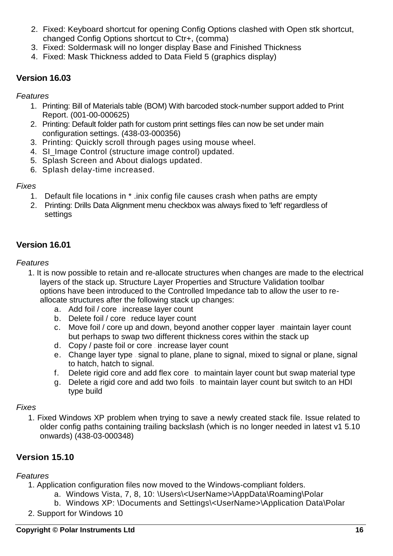- 2. Fixed: Keyboard shortcut for opening Config Options clashed with Open stk shortcut, changed Config Options shortcut to Ctr+, (comma)
- 3. Fixed: Soldermask will no longer display Base and Finished Thickness
- 4. Fixed: Mask Thickness added to Data Field 5 (graphics display)

## **Version 16.03**

### *Features*

- 1. Printing: Bill of Materials table (BOM) With barcoded stock-number support added to Print Report. (001-00-000625)
- 2. Printing: Default folder path for custom print settings files can now be set under main configuration settings. (438-03-000356)
- 3. Printing: Quickly scroll through pages using mouse wheel.
- 4. SI Image Control (structure image control) updated.
- 5. Splash Screen and About dialogs updated.
- 6. Splash delay-time increased.

## *Fixes*

- 1. Default file locations in \* .inix config file causes crash when paths are empty
- 2. Printing: Drills Data Alignment menu checkbox was always fixed to 'left' regardless of settings

# **Version 16.01**

## *Features*

- 1. It is now possible to retain and re-allocate structures when changes are made to the electrical layers of the stack up. Structure Layer Properties and Structure Validation toolbar options have been introduced to the Controlled Impedance tab to allow the user to reallocate structures after the following stack up changes:
	- a. Add foil / core increase layer count
	- b. Delete foil / core reduce layer count
	- c. Move foil / core up and down, beyond another copper layer maintain layer count but perhaps to swap two different thickness cores within the stack up
	- d. Copy / paste foil or core increase layer count
	- e. Change layer type signal to plane, plane to signal, mixed to signal or plane, signal to hatch, hatch to signal.
	- f. Delete rigid core and add flex core to maintain layer count but swap material type
	- g. Delete a rigid core and add two foils to maintain layer count but switch to an HDI type build

## *Fixes*

1. Fixed Windows XP problem when trying to save a newly created stack file. Issue related to older config paths containing trailing backslash (which is no longer needed in latest v1 5.10 onwards) (438-03-000348)

# **Version 15.10**

- 1. Application configuration files now moved to the Windows-compliant folders.
	- a. Windows Vista, 7, 8, 10: \Users\<UserName>\AppData\Roaming\Polar
	- b. Windows XP: \Documents and Settings\<UserName>\Application Data\Polar
- 2. Support for Windows 10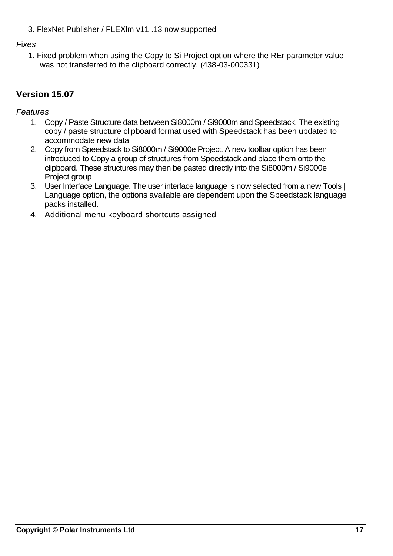3. FlexNet Publisher / FLEXlm v11 .13 now supported

## *F*i*xes*

1. Fixed problem when using the Copy to Si Project option where the REr parameter value was not transferred to the clipboard correctly. (438-03-000331)

# **Version 15.07**

- 1. Copy / Paste Structure data between Si8000m / Si9000m and Speedstack. The existing copy / paste structure clipboard format used with Speedstack has been updated to accommodate new data
- 2. Copy from Speedstack to Si8000m / Si9000e Project. A new toolbar option has been introduced to Copy a group of structures from Speedstack and place them onto the clipboard. These structures may then be pasted directly into the Si8000m / Si9000e Project group
- 3. User Interface Language. The user interface language is now selected from a new Tools | Language option, the options available are dependent upon the Speedstack language packs installed.
- 4. Additional menu keyboard shortcuts assigned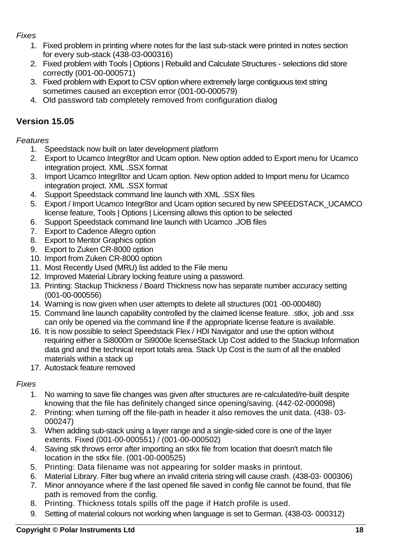- 1. Fixed problem in printing where notes for the last sub-stack were printed in notes section for every sub-stack (438-03-000316)
- 2. Fixed problem with Tools | Options | Rebuild and Calculate Structures selections did store correctly (001-00-000571)
- 3. Fixed problem with Export to CSV option where extremely large contiguous text string sometimes caused an exception error (001-00-000579)
- 4. Old password tab completely removed from configuration dialog

# **Version 15.05**

## *Features*

- 1. Speedstack now built on later development platform
- 2. Export to Ucamco Integr8tor and Ucam option. New option added to Export menu for Ucamco integration project. XML .SSX format
- 3. Import Ucamco Integr8tor and Ucam option. New option added to Import menu for Ucamco integration project. XML .SSX format
- 4. Support Speedstack command line launch with XML .SSX files
- 5. Export / Import Ucamco Integr8tor and Ucam option secured by new SPEEDSTACK\_UCAMCO license feature, Tools | Options | Licensing allows this option to be selected
- 6. Support Speedstack command line launch with Ucamco .JOB files
- 7. Export to Cadence Allegro option
- 8. Export to Mentor Graphics option
- 9. Export to Zuken CR-8000 option
- 10. Import from Zuken CR-8000 option
- 11. Most Recently Used (MRU) list added to the File menu
- 12. Improved Material Library locking feature using a password.
- 13. Printing: Stackup Thickness / Board Thickness now has separate number accuracy setting (001-00-000556)
- 14. Warning is now given when user attempts to delete all structures (001 -00-000480)
- 15. Command line launch capability controlled by the claimed license feature. .stkx, .job and .ssx can only be opened via the command line if the appropriate license feature is available.
- 16. It is now possible to select Speedstack Flex / HDI Navigator and use the option without requiring either a Si8000m or Si9000e licenseStack Up Cost added to the Stackup Information data grid and the technical report totals area. Stack Up Cost is the sum of all the enabled materials within a stack up
- 17. Autostack feature removed

- 1. No warning to save file changes was given after structures are re-calculated/re-built despite knowing that the file has definitely changed since opening/saving. (442-02-000098)
- 2. Printing: when turning off the file-path in header it also removes the unit data. (438- 03- 000247)
- 3. When adding sub-stack using a layer range and a single-sided core is one of the layer extents. Fixed (001-00-000551) / (001-00-000502)
- 4. Saving stk throws error after importing an stkx file from location that doesn't match file location in the stkx file. (001-00-000525)
- 5. Printing: Data filename was not appearing for solder masks in printout.
- 6. Material Library. Filter bug where an invalid criteria string will cause crash. (438-03- 000306)
- 7. Minor annoyance where if the last opened file saved in config file cannot be found, that file path is removed from the config.
- 8. Printing. Thickness totals spills off the page if Hatch profile is used.
- 9. Setting of material colours not working when language is set to German. (438-03- 000312)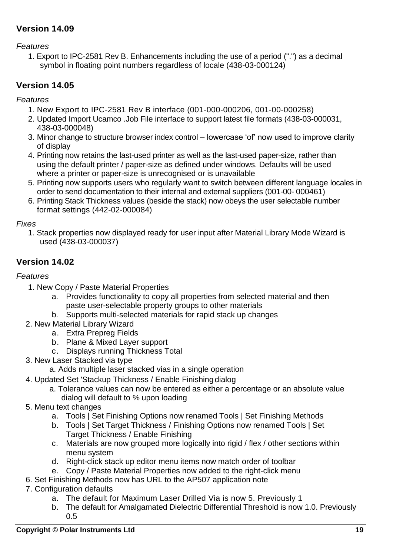# **Version 14.09**

*Features*

1. Export to IPC-2581 Rev B. Enhancements including the use of a period (".") as a decimal symbol in floating point numbers regardless of locale (438-03-000124)

# **Version 14.05**

*Features*

- 1. New Export to IPC-2581 Rev B interface (001-000-000206, 001-00-000258)
- 2. Updated Import Ucamco .Job File interface to support latest file formats (438-03-000031, 438-03-000048)
- 3. Minor change to structure browser index control lowercase 'of' now used to improve clarity of display
- 4. Printing now retains the last-used printer as well as the last-used paper-size, rather than using the default printer / paper-size as defined under windows. Defaults will be used where a printer or paper-size is unrecognised or is unavailable
- 5. Printing now supports users who regularly want to switch between different language locales in order to send documentation to their internal and external suppliers (001-00- 000461)
- 6. Printing Stack Thickness values (beside the stack) now obeys the user selectable number format settings (442-02-000084)

## *Fixes*

1. Stack properties now displayed ready for user input after Material Library Mode Wizard is used (438-03-000037)

# **Version 14.02**

- 1. New Copy / Paste Material Properties
	- a. Provides functionality to copy all properties from selected material and then paste user-selectable property groups to other materials
	- b. Supports multi-selected materials for rapid stack up changes
- 2. New Material Library Wizard
	- a. Extra Prepreg Fields
	- b. Plane & Mixed Layer support
	- c. Displays running Thickness Total
- 3. New Laser Stacked via type
	- a. Adds multiple laser stacked vias in a single operation
- 4. Updated Set 'Stackup Thickness / Enable Finishing dialog
	- a. Tolerance values can now be entered as either a percentage or an absolute value dialog will default to % upon loading
- 5. Menu text changes
	- a. Tools | Set Finishing Options now renamed Tools | Set Finishing Methods
	- b. Tools | Set Target Thickness / Finishing Options now renamed Tools | Set Target Thickness / Enable Finishing
	- c. Materials are now grouped more logically into rigid / flex / other sections within menu system
	- d. Right-click stack up editor menu items now match order of toolbar
	- e. Copy / Paste Material Properties now added to the right-click menu
- 6. Set Finishing Methods now has URL to the AP507 application note
- 7. Configuration defaults
	- a. The default for Maximum Laser Drilled Via is now 5. Previously 1
	- b. The default for Amalgamated Dielectric Differential Threshold is now 1.0. Previously 0.5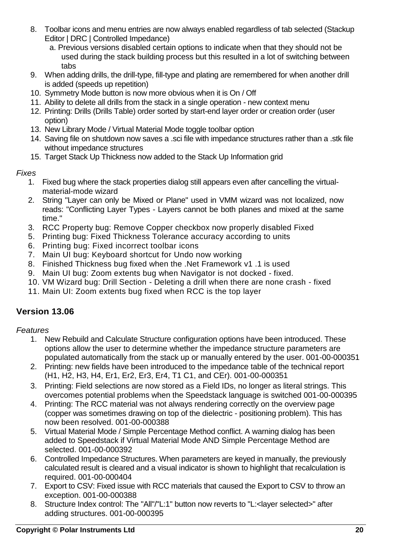- 8. Toolbar icons and menu entries are now always enabled regardless of tab selected (Stackup Editor | DRC | Controlled Impedance)
	- a. Previous versions disabled certain options to indicate when that they should not be used during the stack building process but this resulted in a lot of switching between tabs
- 9. When adding drills, the drill-type, fill-type and plating are remembered for when another drill is added (speeds up repetition)
- 10. Symmetry Mode button is now more obvious when it is On / Off
- 11. Ability to delete all drills from the stack in a single operation new context menu
- 12. Printing: Drills (Drills Table) order sorted by start-end layer order or creation order (user option)
- 13. New Library Mode / Virtual Material Mode toggle toolbar option
- 14. Saving file on shutdown now saves a .sci file with impedance structures rather than a .stk file without impedance structures
- 15. Target Stack Up Thickness now added to the Stack Up Information grid

- 1. Fixed bug where the stack properties dialog still appears even after cancelling the virtualmaterial-mode wizard
- 2. String "Layer can only be Mixed or Plane" used in VMM wizard was not localized, now reads: "Conflicting Layer Types - Layers cannot be both planes and mixed at the same time."
- 3. RCC Property bug: Remove Copper checkbox now properly disabled Fixed
- 5. Printing bug: Fixed Thickness Tolerance accuracy according to units
- 6. Printing bug: Fixed incorrect toolbar icons
- 7. Main UI bug: Keyboard shortcut for Undo now working
- 8. Finished Thickness bug fixed when the .Net Framework v1 .1 is used
- 9. Main UI bug: Zoom extents bug when Navigator is not docked fixed.
- 10. VM Wizard bug: Drill Section Deleting a drill when there are none crash fixed
- 11. Main UI: Zoom extents bug fixed when RCC is the top layer

# **Version 13.06**

- 1. New Rebuild and Calculate Structure configuration options have been introduced. These options allow the user to determine whether the impedance structure parameters are populated automatically from the stack up or manually entered by the user. 001-00-000351
- 2. Printing: new fields have been introduced to the impedance table of the technical report (H1, H2, H3, H4, Er1, Er2, Er3, Er4, T1 C1, and CEr). 001-00-000351
- 3. Printing: Field selections are now stored as a Field IDs, no longer as literal strings. This overcomes potential problems when the Speedstack language is switched 001-00-000395
- 4. Printing: The RCC material was not always rendering correctly on the overview page (copper was sometimes drawing on top of the dielectric - positioning problem). This has now been resolved. 001-00-000388
- 5. Virtual Material Mode / Simple Percentage Method conflict. A warning dialog has been added to Speedstack if Virtual Material Mode AND Simple Percentage Method are selected. 001-00-000392
- 6. Controlled Impedance Structures. When parameters are keyed in manually, the previously calculated result is cleared and a visual indicator is shown to highlight that recalculation is required. 001-00-000404
- 7. Export to CSV: Fixed issue with RCC materials that caused the Export to CSV to throw an exception. 001-00-000388
- 8. Structure Index control: The "All"/"L:1" button now reverts to "L:<layer selected>" after adding structures. 001-00-000395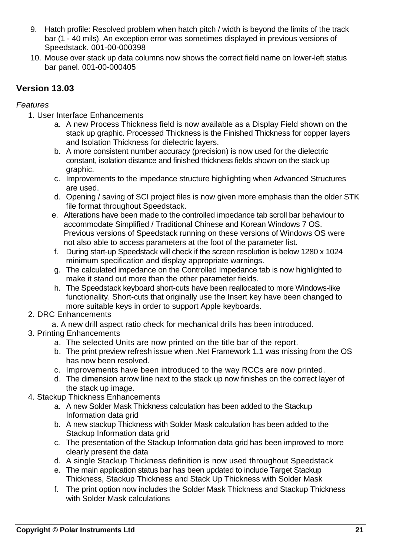- 9. Hatch profile: Resolved problem when hatch pitch / width is beyond the limits of the track bar (1 - 40 mils). An exception error was sometimes displayed in previous versions of Speedstack. 001-00-000398
- 10. Mouse over stack up data columns now shows the correct field name on lower-left status bar panel. 001-00-000405

## **Version 13.03**

- 1. User Interface Enhancements
	- a. A new Process Thickness field is now available as a Display Field shown on the stack up graphic. Processed Thickness is the Finished Thickness for copper layers and Isolation Thickness for dielectric layers.
	- b. A more consistent number accuracy (precision) is now used for the dielectric constant, isolation distance and finished thickness fields shown on the stack up graphic.
	- c. Improvements to the impedance structure highlighting when Advanced Structures are used.
	- d. Opening / saving of SCI project files is now given more emphasis than the older STK file format throughout Speedstack.
	- e. Alterations have been made to the controlled impedance tab scroll bar behaviour to accommodate Simplified / Traditional Chinese and Korean Windows 7 OS. Previous versions of Speedstack running on these versions of Windows OS were not also able to access parameters at the foot of the parameter list.
	- f. During start-up Speedstack will check if the screen resolution is below 1280 x 1024 minimum specification and display appropriate warnings.
	- g. The calculated impedance on the Controlled Impedance tab is now highlighted to make it stand out more than the other parameter fields.
	- h. The Speedstack keyboard short-cuts have been reallocated to more Windows-like functionality. Short-cuts that originally use the Insert key have been changed to more suitable keys in order to support Apple keyboards.
- 2. DRC Enhancements
	- a. A new drill aspect ratio check for mechanical drills has been introduced.
- 3. Printing Enhancements
	- a. The selected Units are now printed on the title bar of the report.
	- b. The print preview refresh issue when .Net Framework 1.1 was missing from the OS has now been resolved.
	- c. Improvements have been introduced to the way RCCs are now printed.
	- d. The dimension arrow line next to the stack up now finishes on the correct layer of the stack up image.
- 4. Stackup Thickness Enhancements
	- a. A new Solder Mask Thickness calculation has been added to the Stackup Information data grid
	- b. A new stackup Thickness with Solder Mask calculation has been added to the Stackup Information data grid
	- c. The presentation of the Stackup Information data grid has been improved to more clearly present the data
	- d. A single Stackup Thickness definition is now used throughout Speedstack
	- e. The main application status bar has been updated to include Target Stackup Thickness, Stackup Thickness and Stack Up Thickness with Solder Mask
	- f. The print option now includes the Solder Mask Thickness and Stackup Thickness with Solder Mask calculations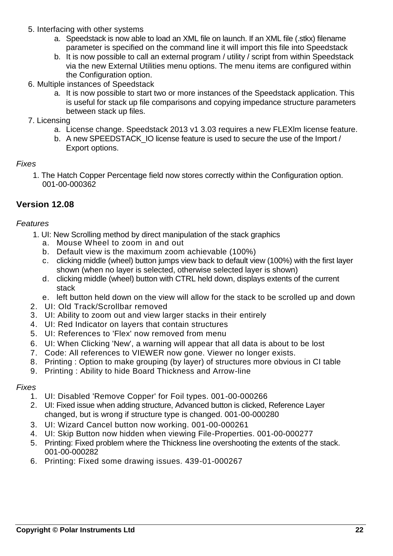- 5. Interfacing with other systems
	- a. Speedstack is now able to load an XML file on launch. If an XML file (.stkx) filename parameter is specified on the command line it will import this file into Speedstack
	- b. It is now possible to call an external program / utility / script from within Speedstack via the new External Utilities menu options. The menu items are configured within the Configuration option.
- 6. Multiple instances of Speedstack
	- a. It is now possible to start two or more instances of the Speedstack application. This is useful for stack up file comparisons and copying impedance structure parameters between stack up files.
- 7. Licensing
	- a. License change. Speedstack 2013 v1 3.03 requires a new FLEXlm license feature.
	- b. A new SPEEDSTACK IO license feature is used to secure the use of the Import / Export options.

1. The Hatch Copper Percentage field now stores correctly within the Configuration option. 001-00-000362

## **Version 12.08**

#### *Features*

- 1. UI: New Scrolling method by direct manipulation of the stack graphics
	- a. Mouse Wheel to zoom in and out
	- b. Default view is the maximum zoom achievable (100%)
	- c. clicking middle (wheel) button jumps view back to default view (100%) with the first layer shown (when no layer is selected, otherwise selected layer is shown)
	- d. clicking middle (wheel) button with CTRL held down, displays extents of the current stack
	- e. left button held down on the view will allow for the stack to be scrolled up and down
- 2. UI: Old Track/Scrollbar removed
- 3. UI: Ability to zoom out and view larger stacks in their entirely
- 4. UI: Red Indicator on layers that contain structures
- 5. UI: References to 'Flex' now removed from menu
- 6. UI: When Clicking 'New', a warning will appear that all data is about to be lost
- 7. Code: All references to VIEWER now gone. Viewer no longer exists.
- 8. Printing : Option to make grouping (by layer) of structures more obvious in CI table
- 9. Printing : Ability to hide Board Thickness and Arrow-line

- 1. UI: Disabled 'Remove Copper' for Foil types. 001-00-000266
- 2. UI: Fixed issue when adding structure, Advanced button is clicked, Reference Layer changed, but is wrong if structure type is changed. 001-00-000280
- 3. UI: Wizard Cancel button now working. 001-00-000261
- 4. UI: Skip Button now hidden when viewing File-Properties. 001-00-000277
- 5. Printing: Fixed problem where the Thickness line overshooting the extents of the stack. 001-00-000282
- 6. Printing: Fixed some drawing issues. 439-01-000267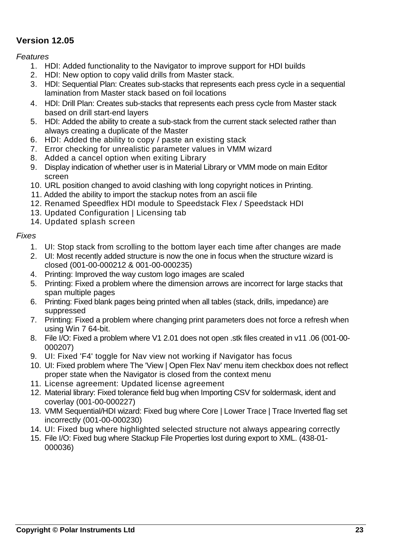## **Version 12.05**

*Features*

- 1. HDI: Added functionality to the Navigator to improve support for HDI builds
- 2. HDI: New option to copy valid drills from Master stack.
- 3. HDI: Sequential Plan: Creates sub-stacks that represents each press cycle in a sequential lamination from Master stack based on foil locations
- 4. HDI: Drill Plan: Creates sub-stacks that represents each press cycle from Master stack based on drill start-end layers
- 5. HDI: Added the ability to create a sub-stack from the current stack selected rather than always creating a duplicate of the Master
- 6. HDI: Added the ability to copy / paste an existing stack
- 7. Error checking for unrealistic parameter values in VMM wizard
- 8. Added a cancel option when exiting Library
- 9. Display indication of whether user is in Material Library or VMM mode on main Editor screen
- 10. URL position changed to avoid clashing with long copyright notices in Printing.
- 11. Added the ability to import the stackup notes from an ascii file
- 12. Renamed Speedflex HDI module to Speedstack Flex / Speedstack HDI
- 13. Updated Configuration | Licensing tab
- 14. Updated splash screen

- 1. UI: Stop stack from scrolling to the bottom layer each time after changes are made
- 2. UI: Most recently added structure is now the one in focus when the structure wizard is closed (001-00-000212 & 001-00-000235)
- 4. Printing: Improved the way custom logo images are scaled
- 5. Printing: Fixed a problem where the dimension arrows are incorrect for large stacks that span multiple pages
- 6. Printing: Fixed blank pages being printed when all tables (stack, drills, impedance) are suppressed
- 7. Printing: Fixed a problem where changing print parameters does not force a refresh when using Win 7 64-bit.
- 8. File I/O: Fixed a problem where V1 2.01 does not open .stk files created in v11 .06 (001-00- 000207)
- 9. UI: Fixed 'F4' toggle for Nav view not working if Navigator has focus
- 10. UI: Fixed problem where The 'View | Open Flex Nav' menu item checkbox does not reflect proper state when the Navigator is closed from the context menu
- 11. License agreement: Updated license agreement
- 12. Material library: Fixed tolerance field bug when Importing CSV for soldermask, ident and coverlay (001-00-000227)
- 13. VMM Sequential/HDI wizard: Fixed bug where Core | Lower Trace | Trace Inverted flag set incorrectly (001-00-000230)
- 14. UI: Fixed bug where highlighted selected structure not always appearing correctly
- 15. File I/O: Fixed bug where Stackup File Properties lost during export to XML. (438-01- 000036)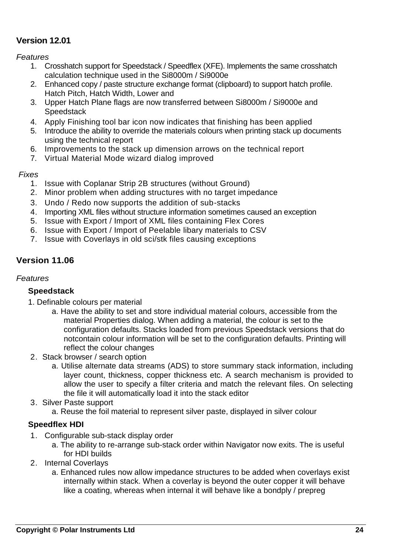## **Version 12.01**

*Features*

- 1. Crosshatch support for Speedstack / Speedflex (XFE). Implements the same crosshatch calculation technique used in the Si8000m / Si9000e
- 2. Enhanced copy / paste structure exchange format (clipboard) to support hatch profile. Hatch Pitch, Hatch Width, Lower and
- 3. Upper Hatch Plane flags are now transferred between Si8000m / Si9000e and **Speedstack**
- 4. Apply Finishing tool bar icon now indicates that finishing has been applied
- 5. Introduce the ability to override the materials colours when printing stack up documents using the technical report
- 6. Improvements to the stack up dimension arrows on the technical report
- 7. Virtual Material Mode wizard dialog improved

### *Fixes*

- 1. Issue with Coplanar Strip 2B structures (without Ground)
- 2. Minor problem when adding structures with no target impedance
- 3. Undo / Redo now supports the addition of sub-stacks
- 4. Importing XML files without structure information sometimes caused an exception
- 5. Issue with Export / Import of XML files containing Flex Cores
- 6. Issue with Export / Import of Peelable libary materials to CSV
- 7. Issue with Coverlays in old sci/stk files causing exceptions

## **Version 11.06**

#### *Features*

#### **Speedstack**

- 1. Definable colours per material
	- a. Have the ability to set and store individual material colours, accessible from the material Properties dialog. When adding a material, the colour is set to the configuration defaults. Stacks loaded from previous Speedstack versions that do notcontain colour information will be set to the configuration defaults. Printing will reflect the colour changes
- 2. Stack browser / search option
	- a. Utilise alternate data streams (ADS) to store summary stack information, including layer count, thickness, copper thickness etc. A search mechanism is provided to allow the user to specify a filter criteria and match the relevant files. On selecting the file it will automatically load it into the stack editor
- 3. Silver Paste support

a. Reuse the foil material to represent silver paste, displayed in silver colour

### **Speedflex HDI**

- 1. Configurable sub-stack display order
	- a. The ability to re-arrange sub-stack order within Navigator now exits. The is useful for HDI builds
- 2. Internal Coverlays
	- a. Enhanced rules now allow impedance structures to be added when coverlays exist internally within stack. When a coverlay is beyond the outer copper it will behave like a coating, whereas when internal it will behave like a bondply / prepreg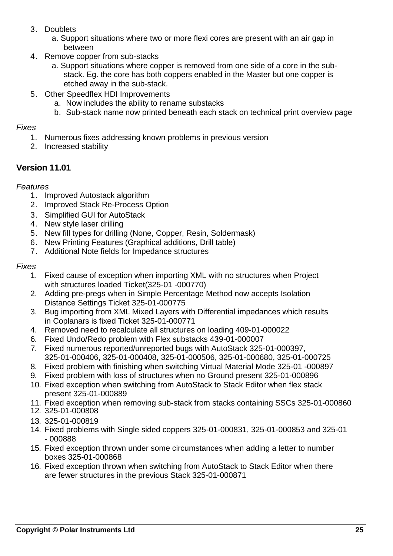- 3. Doublets
	- a. Support situations where two or more flexi cores are present with an air gap in between
- 4. Remove copper from sub-stacks
	- a. Support situations where copper is removed from one side of a core in the substack. Eg. the core has both coppers enabled in the Master but one copper is etched away in the sub-stack.
- 5. Other Speedflex HDI Improvements
	- a. Now includes the ability to rename substacks
	- b. Sub-stack name now printed beneath each stack on technical print overview page

- 1. Numerous fixes addressing known problems in previous version
- 2. Increased stability

# **Version 11.01**

## *Features*

- 1. Improved Autostack algorithm
- 2. Improved Stack Re-Process Option
- 3. Simplified GUI for AutoStack
- 4. New style laser drilling
- 5. New fill types for drilling (None, Copper, Resin, Soldermask)
- 6. New Printing Features (Graphical additions, Drill table)
- 7. Additional Note fields for Impedance structures

- 1. Fixed cause of exception when importing XML with no structures when Project with structures loaded Ticket(325-01 -000770)
- 2. Adding pre-pregs when in Simple Percentage Method now accepts Isolation Distance Settings Ticket 325-01-000775
- 3. Bug importing from XML Mixed Layers with Differential impedances which results in Coplanars is fixed Ticket 325-01-000771
- 4. Removed need to recalculate all structures on loading 409-01-000022
- 6. Fixed Undo/Redo problem with Flex substacks 439-01-000007
- 7. Fixed numerous reported/unreported bugs with AutoStack 325-01-000397, 325-01-000406, 325-01-000408, 325-01-000506, 325-01-000680, 325-01-000725
- 8. Fixed problem with finishing when switching Virtual Material Mode 325-01 -000897
- 9. Fixed problem with loss of structures when no Ground present 325-01-000896
- 10. Fixed exception when switching from AutoStack to Stack Editor when flex stack present 325-01-000889
- 11. Fixed exception when removing sub-stack from stacks containing SSCs 325-01-000860
- 12. 325-01-000808
- 13. 325-01-000819
- 14. Fixed problems with Single sided coppers 325-01-000831, 325-01-000853 and 325-01 - 000888
- 15. Fixed exception thrown under some circumstances when adding a letter to number boxes 325-01-000868
- 16. Fixed exception thrown when switching from AutoStack to Stack Editor when there are fewer structures in the previous Stack 325-01-000871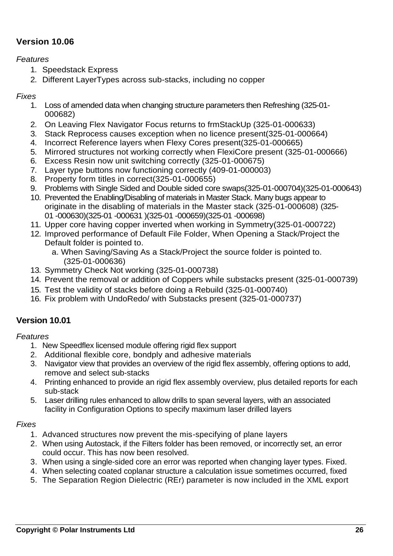# **Version 10.06**

#### *Features*

- 1. Speedstack Express
- 2. Different LayerTypes across sub-stacks, including no copper

### *Fixes*

- 1. Loss of amended data when changing structure parameters then Refreshing (325-01- 000682)
- 2. On Leaving Flex Navigator Focus returns to frmStackUp (325-01-000633)
- 3. Stack Reprocess causes exception when no licence present(325-01-000664)
- 4. Incorrect Reference layers when Flexy Cores present(325-01-000665)
- 5. Mirrored structures not working correctly when FlexiCore present (325-01-000666)
- 6. Excess Resin now unit switching correctly (325-01-000675)
- 7. Layer type buttons now functioning correctly (409-01-000003)
- 8. Property form titles in correct(325-01-000655)
- 9. Problems with Single Sided and Double sided core swaps(325-01-000704)(325-01-000643)
- 10. Prevented the Enabling/Disabling of materials in Master Stack. Many bugs appear to originate in the disabling of materials in the Master stack (325-01-000608) (325- 01 -000630)(325-01 -000631 )(325-01 -000659)(325-01 -000698)
- 11. Upper core having copper inverted when working in Symmetry(325-01-000722)
- 12. Improved performance of Default File Folder, When Opening a Stack/Project the Default folder is pointed to.
	- a. When Saving/Saving As a Stack/Project the source folder is pointed to. (325-01-000636)
- 13. Symmetry Check Not working (325-01-000738)
- 14. Prevent the removal or addition of Coppers while substacks present (325-01-000739)
- 15. Test the validity of stacks before doing a Rebuild (325-01-000740)
- 16. Fix problem with UndoRedo/ with Substacks present (325-01-000737)

## **Version 10.01**

#### *Features*

- 1. New Speedflex licensed module offering rigid flex support
- 2. Additional flexible core, bondply and adhesive materials
- 3. Navigator view that provides an overview of the rigid flex assembly, offering options to add, remove and select sub-stacks
- 4. Printing enhanced to provide an rigid flex assembly overview, plus detailed reports for each sub-stack
- 5. Laser drilling rules enhanced to allow drills to span several layers, with an associated facility in Configuration Options to specify maximum laser drilled layers

- 1. Advanced structures now prevent the mis-specifying of plane layers
- 2. When using Autostack, if the Filters folder has been removed, or incorrectly set, an error could occur. This has now been resolved.
- 3. When using a single-sided core an error was reported when changing layer types. Fixed.
- 4. When selecting coated coplanar structure a calculation issue sometimes occurred, fixed
- 5. The Separation Region Dielectric (REr) parameter is now included in the XML export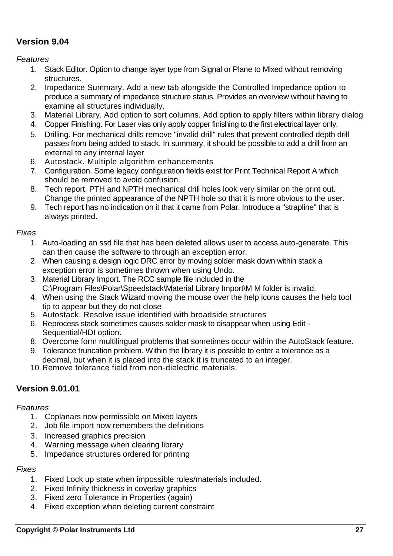## **Version 9.04**

*Features*

- 1. Stack Editor. Option to change layer type from Signal or Plane to Mixed without removing structures.
- 2. Impedance Summary. Add a new tab alongside the Controlled Impedance option to produce a summary of impedance structure status. Provides an overview without having to examine all structures individually.
- 3. Material Library. Add option to sort columns. Add option to apply filters within library dialog
- 4. Copper Finishing. For Laser vias only apply copper finishing to the first electrical layer only.
- 5. Drilling. For mechanical drills remove "invalid drill" rules that prevent controlled depth drill passes from being added to stack. In summary, it should be possible to add a drill from an external to any internal layer
- 6. Autostack. Multiple algorithm enhancements
- 7. Configuration. Some legacy configuration fields exist for Print Technical Report A which should be removed to avoid confusion.
- 8. Tech report. PTH and NPTH mechanical drill holes look very similar on the print out. Change the printed appearance of the NPTH hole so that it is more obvious to the user.
- 9. Tech report has no indication on it that it came from Polar. Introduce a "strapline" that is always printed.

#### *Fixes*

- 1. Auto-loading an ssd file that has been deleted allows user to access auto-generate. This can then cause the software to through an exception error.
- 2. When causing a design logic DRC error by moving solder mask down within stack a exception error is sometimes thrown when using Undo.
- 3. Material Library Import. The RCC sample file included in the C:\Program Files\Polar\Speedstack\Material Library Import\M M folder is invalid.
- 4. When using the Stack Wizard moving the mouse over the help icons causes the help tool tip to appear but they do not close
- 5. Autostack. Resolve issue identified with broadside structures
- 6. Reprocess stack sometimes causes solder mask to disappear when using Edit Sequential/HDI option.
- 8. Overcome form multilingual problems that sometimes occur within the AutoStack feature.
- 9. Tolerance truncation problem. Within the library it is possible to enter a tolerance as a decimal, but when it is placed into the stack it is truncated to an integer.
- 10.Remove tolerance field from non-dielectric materials.

## **Version 9.01.01**

#### *Features*

- 1. Coplanars now permissible on Mixed layers
- 2. Job file import now remembers the definitions
- 3. Increased graphics precision
- 4. Warning message when clearing library
- 5. Impedance structures ordered for printing

- 1. Fixed Lock up state when impossible rules/materials included.
- 2. Fixed Infinity thickness in coverlay graphics
- 3. Fixed zero Tolerance in Properties (again)
- 4. Fixed exception when deleting current constraint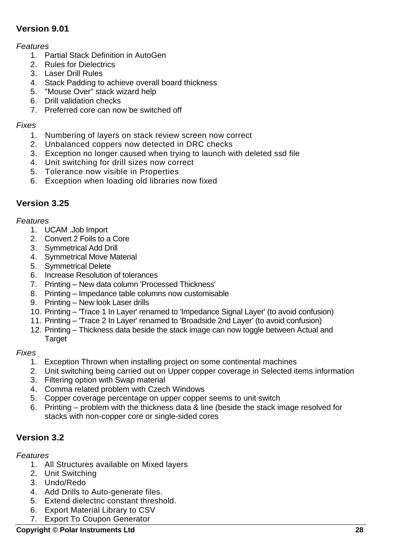# **Version 9.01**

#### *Features*

- 1. Partial Stack Definition in AutoGen
- 2. Rules for Dielectrics
- 3. Laser Drill Rules
- 4. Stack Padding to achieve overall board thickness
- 5. "Mouse Over" stack wizard help
- 6. Drill validation checks
- 7. Preferred core can now be switched off

#### *Fixes*

- 1. Numbering of layers on stack review screen now correct
- 2. Unbalanced coppers now detected in DRC checks
- 3. Exception no longer caused when trying to launch with deleted ssd file
- 4. Unit switching for drill sizes now correct
- 5. Tolerance now visible in Properties
- 6. Exception when loading old libraries now fixed

## **Version 3.25**

#### *Features*

- 1. UCAM .Job Import
- 2. Convert 2 Foils to a Core
- 3. Symmetrical Add Drill
- 4. Symmetrical Move Material
- 5. Symmetrical Delete
- 6. Increase Resolution of tolerances
- 7. Printing New data column 'Processed Thickness'
- 8. Printing Impedance table columns now customisable
- 9. Printing New look Laser drills
- 10. Printing 'Trace 1 In Layer' renamed to 'Impedance Signal Layer' (to avoid confusion)
- 11. Printing 'Trace 2 In Layer' renamed to 'Broadside 2nd Layer' (to avoid confusion)
- 12. Printing Thickness data beside the stack image can now toggle between Actual and **Target**

#### *Fixes*

- 1. Exception Thrown when installing project on some continental machines
- 2. Unit switching being carried out on Upper copper coverage in Selected items information
- 3. Filtering option with Swap material
- 4. Comma related problem with Czech Windows
- 5. Copper coverage percentage on upper copper seems to unit switch
- 6. Printing problem with the thickness data & line (beside the stack image resolved for stacks with non-copper core or single-sided cores

## **Version 3.2**

- 1. All Structures available on Mixed layers
- 2. Unit Switching
- 3. Undo/Redo
- 4. Add Drills to Auto-generate files.
- 5. Extend dielectric constant threshold.
- 6. Export Material Library to CSV
- 7. Export To Coupon Generator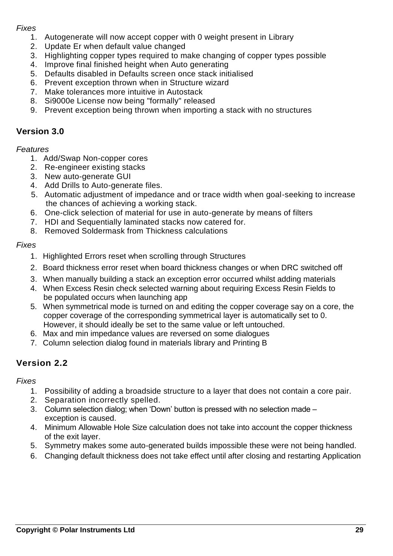- 1. Autogenerate will now accept copper with 0 weight present in Library
- 2. Update Er when default value changed
- 3. Highlighting copper types required to make changing of copper types possible
- 4. Improve final finished height when Auto generating
- 5. Defaults disabled in Defaults screen once stack initialised
- 6. Prevent exception thrown when in Structure wizard
- 7. Make tolerances more intuitive in Autostack
- 8. Si9000e License now being "formally" released
- 9. Prevent exception being thrown when importing a stack with no structures

## **Version 3.0**

#### *Features*

- 1. Add/Swap Non-copper cores
- 2. Re-engineer existing stacks
- 3. New auto-generate GUI
- 4. Add Drills to Auto-generate files.
- 5. Automatic adjustment of impedance and or trace width when goal-seeking to increase the chances of achieving a working stack.
- 6. One-click selection of material for use in auto-generate by means of filters
- 7. HDI and Sequentially laminated stacks now catered for.
- 8. Removed Soldermask from Thickness calculations

#### *Fixes*

- 1. Highlighted Errors reset when scrolling through Structures
- 2. Board thickness error reset when board thickness changes or when DRC switched off
- 3. When manually building a stack an exception error occurred whilst adding materials
- 4. When Excess Resin check selected warning about requiring Excess Resin Fields to be populated occurs when launching app
- 5. When symmetrical mode is turned on and editing the copper coverage say on a core, the copper coverage of the corresponding symmetrical layer is automatically set to 0. However, it should ideally be set to the same value or left untouched.
- 6. Max and min impedance values are reversed on some dialogues
- 7. Column selection dialog found in materials library and Printing B

## **Version 2.2**

- 1. Possibility of adding a broadside structure to a layer that does not contain a core pair.
- 2. Separation incorrectly spelled.
- 3. Column selection dialog; when 'Down' button is pressed with no selection made exception is caused.
- 4. Minimum Allowable Hole Size calculation does not take into account the copper thickness of the exit layer.
- 5. Symmetry makes some auto-generated builds impossible these were not being handled.
- 6. Changing default thickness does not take effect until after closing and restarting Application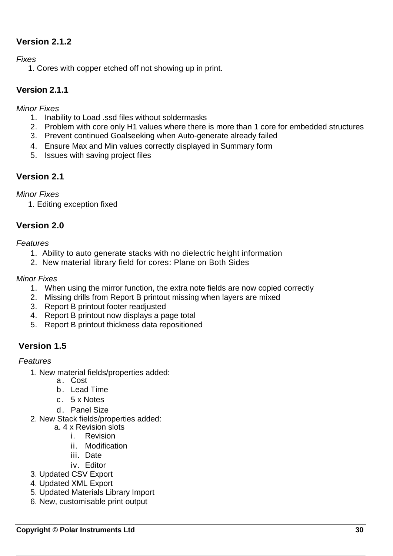## **Version 2.1.2**

*Fixes*

1. Cores with copper etched off not showing up in print.

## **Version 2.1.1**

*Minor Fixes*

- 1. Inability to Load .ssd files without soldermasks
- 2. Problem with core only H1 values where there is more than 1 core for embedded structures
- 3. Prevent continued Goalseeking when Auto-generate already failed
- 4. Ensure Max and Min values correctly displayed in Summary form
- 5. Issues with saving project files

## **Version 2.1**

*Minor Fixes*

1. Editing exception fixed

## **Version 2.0**

#### *Features*

- 1. Ability to auto generate stacks with no dielectric height information
- 2. New material library field for cores: Plane on Both Sides

#### *Minor Fixes*

- 1. When using the mirror function, the extra note fields are now copied correctly
- 2. Missing drills from Report B printout missing when layers are mixed
- 3. Report B printout footer readjusted
- 4. Report B printout now displays a page total
- 5. Report B printout thickness data repositioned

## **Version 1.5**

- 1. New material fields/properties added:
	- a. Cost
	- b . Lead Time
	- c . 5 x Notes
	- d. Panel Size
- 2. New Stack fields/properties added:
	- a. 4 x Revision slots
		- i. Revision
		- ii. Modification
		- iii. Date
		- iv. Editor
- 3. Updated CSV Export
- 4. Updated XML Export
- 5. Updated Materials Library Import
- 6. New, customisable print output